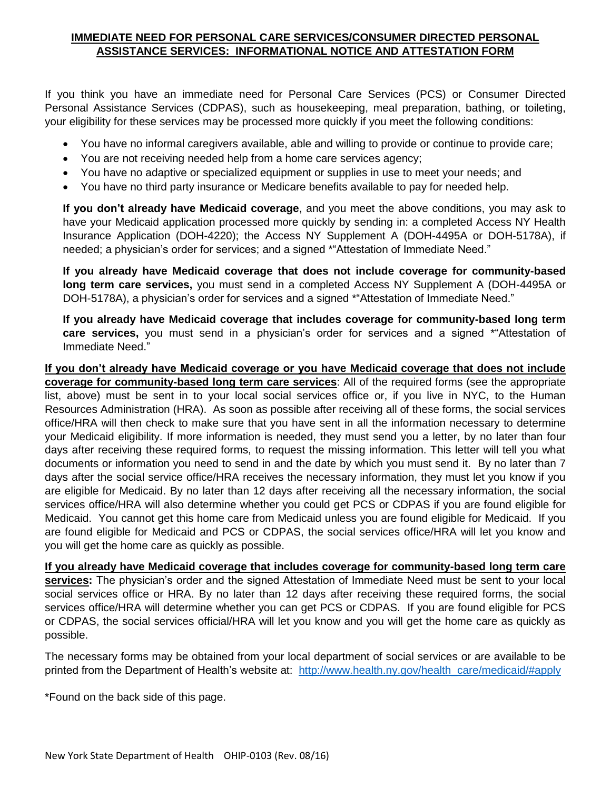## **IMMEDIATE NEED FOR PERSONAL CARE SERVICES/CONSUMER DIRECTED PERSONAL ASSISTANCE SERVICES: INFORMATIONAL NOTICE AND ATTESTATION FORM**

If you think you have an immediate need for Personal Care Services (PCS) or Consumer Directed Personal Assistance Services (CDPAS), such as housekeeping, meal preparation, bathing, or toileting, your eligibility for these services may be processed more quickly if you meet the following conditions:

- You have no informal caregivers available, able and willing to provide or continue to provide care;
- You are not receiving needed help from a home care services agency;
- You have no adaptive or specialized equipment or supplies in use to meet your needs; and
- You have no third party insurance or Medicare benefits available to pay for needed help.

**If you don't already have Medicaid coverage**, and you meet the above conditions, you may ask to have your Medicaid application processed more quickly by sending in: a completed Access NY Health Insurance Application (DOH-4220); the Access NY Supplement A (DOH-4495A or DOH-5178A), if needed; a physician's order for services; and a signed \*"Attestation of Immediate Need."

**If you already have Medicaid coverage that does not include coverage for community-based long term care services,** you must send in a completed Access NY Supplement A (DOH-4495A or DOH-5178A), a physician's order for services and a signed \*"Attestation of Immediate Need."

**If you already have Medicaid coverage that includes coverage for community-based long term care services,** you must send in a physician's order for services and a signed \*"Attestation of Immediate Need."

**If you don't already have Medicaid coverage or you have Medicaid coverage that does not include coverage for community-based long term care services**: All of the required forms (see the appropriate list, above) must be sent in to your local social services office or, if you live in NYC, to the Human Resources Administration (HRA). As soon as possible after receiving all of these forms, the social services office/HRA will then check to make sure that you have sent in all the information necessary to determine your Medicaid eligibility. If more information is needed, they must send you a letter, by no later than four days after receiving these required forms, to request the missing information. This letter will tell you what documents or information you need to send in and the date by which you must send it. By no later than 7 days after the social service office/HRA receives the necessary information, they must let you know if you are eligible for Medicaid. By no later than 12 days after receiving all the necessary information, the social services office/HRA will also determine whether you could get PCS or CDPAS if you are found eligible for Medicaid. You cannot get this home care from Medicaid unless you are found eligible for Medicaid. If you are found eligible for Medicaid and PCS or CDPAS, the social services office/HRA will let you know and you will get the home care as quickly as possible.

**If you already have Medicaid coverage that includes coverage for community-based long term care**  services: The physician's order and the signed Attestation of Immediate Need must be sent to your local social services office or HRA. By no later than 12 days after receiving these required forms, the social services office/HRA will determine whether you can get PCS or CDPAS. If you are found eligible for PCS or CDPAS, the social services official/HRA will let you know and you will get the home care as quickly as possible.

The necessary forms may be obtained from your local department of social services or are available to be printed from the Department of Health's website at: [http://www.health.ny.gov/health\\_care/medicaid/#apply](http://www.health.ny.gov/health_care/medicaid/#apply)

\*Found on the back side of this page.